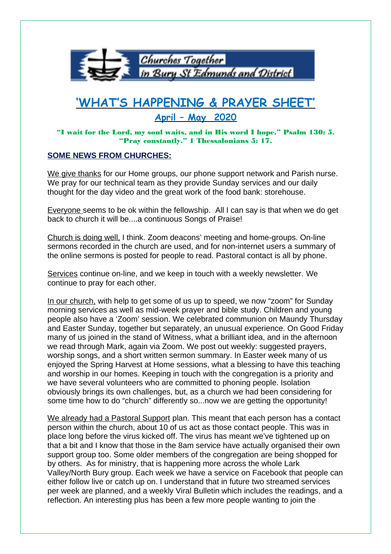

## **'WHAT'S HAPPENING & PRAYER SHEET' April – May 2020**

"I wait for the Lord, my soul waits, and in His word I hope." Psalm 130: 5. "Pray constantly." 1 Thessalonians 5: 17.

## **SOME NEWS FROM CHURCHES:**

We give thanks for our Home groups, our phone support network and Parish nurse. We pray for our technical team as they provide Sunday services and our daily thought for the day video and the great work of the food bank: storehouse.

Everyone seems to be ok within the fellowship. All I can say is that when we do get back to church it will be....a continuous Songs of Praise!

Church is doing well, I think. Zoom deacons' meeting and home-groups. On-line sermons recorded in the church are used, and for non-internet users a summary of the online sermons is posted for people to read. Pastoral contact is all by phone.

Services continue on-line, and we keep in touch with a weekly newsletter. We continue to pray for each other.

In our church, with help to get some of us up to speed, we now "zoom" for Sunday morning services as well as mid-week prayer and bible study. Children and young people also have a 'Zoom' session. We celebrated communion on Maundy Thursday and Easter Sunday, together but separately, an unusual experience. On Good Friday many of us joined in the stand of Witness, what a brilliant idea, and in the afternoon we read through Mark, again via Zoom. We post out weekly: suggested prayers, worship songs, and a short written sermon summary. In Easter week many of us enjoyed the Spring Harvest at Home sessions, what a blessing to have this teaching and worship in our homes. Keeping in touch with the congregation is a priority and we have several volunteers who are committed to phoning people. Isolation obviously brings its own challenges, but, as a church we had been considering for some time how to do "church" differently so...now we are getting the opportunity!

We already had a Pastoral Support plan. This meant that each person has a contact person within the church, about 10 of us act as those contact people. This was in place long before the virus kicked off. The virus has meant we've tightened up on that a bit and I know that those in the 8am service have actually organised their own support group too. Some older members of the congregation are being shopped for by others. As for ministry, that is happening more across the whole Lark Valley/North Bury group. Each week we have a service on Facebook that people can either follow live or catch up on. I understand that in future two streamed services per week are planned, and a weekly Viral Bulletin which includes the readings, and a reflection. An interesting plus has been a few more people wanting to join the